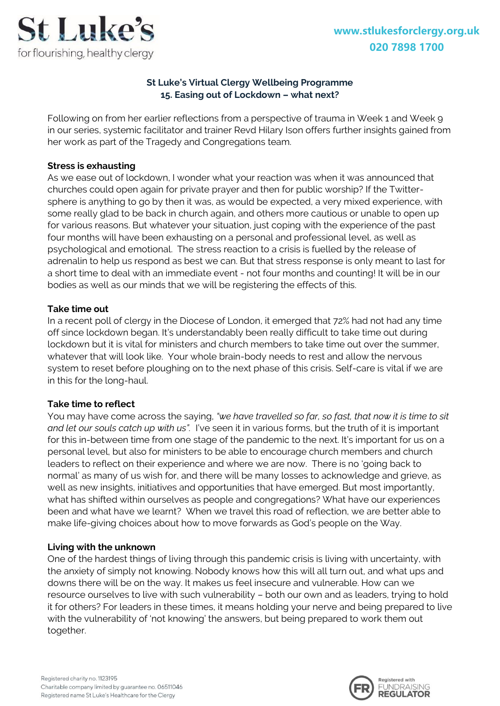

# **St Luke's Virtual Clergy Wellbeing Programme 15. Easing out of Lockdown – what next?**

Following on from her earlier reflections from a perspective of trauma in Week 1 and Week 9 in our series, systemic facilitator and trainer Revd Hilary Ison offers further insights gained from her work as part of the Tragedy and Congregations team.

### **Stress is exhausting**

As we ease out of lockdown, I wonder what your reaction was when it was announced that churches could open again for private prayer and then for public worship? If the Twittersphere is anything to go by then it was, as would be expected, a very mixed experience, with some really glad to be back in church again, and others more cautious or unable to open up for various reasons. But whatever your situation, just coping with the experience of the past four months will have been exhausting on a personal and professional level, as well as psychological and emotional. The stress reaction to a crisis is fuelled by the release of adrenalin to help us respond as best we can. But that stress response is only meant to last for a short time to deal with an immediate event - not four months and counting! It will be in our bodies as well as our minds that we will be registering the effects of this.

### **Take time out**

In a recent poll of clergy in the Diocese of London, it emerged that 72% had not had any time off since lockdown began. It's understandably been really difficult to take time out during lockdown but it is vital for ministers and church members to take time out over the summer, whatever that will look like. Your whole brain-body needs to rest and allow the nervous system to reset before ploughing on to the next phase of this crisis. Self-care is vital if we are in this for the long-haul.

### **Take time to reflect**

You may have come across the saying, *"we have travelled so far, so fast, that now it is time to sit and let our souls catch up with us".* I've seen it in various forms, but the truth of it is important for this in-between time from one stage of the pandemic to the next. It's important for us on a personal level, but also for ministers to be able to encourage church members and church leaders to reflect on their experience and where we are now. There is no 'going back to normal' as many of us wish for, and there will be many losses to acknowledge and grieve, as well as new insights, initiatives and opportunities that have emerged. But most importantly, what has shifted within ourselves as people and congregations? What have our experiences been and what have we learnt? When we travel this road of reflection, we are better able to make life-giving choices about how to move forwards as God's people on the Way.

#### **Living with the unknown**

One of the hardest things of living through this pandemic crisis is living with uncertainty, with the anxiety of simply not knowing. Nobody knows how this will all turn out, and what ups and downs there will be on the way. It makes us feel insecure and vulnerable. How can we resource ourselves to live with such vulnerability – both our own and as leaders, trying to hold it for others? For leaders in these times, it means holding your nerve and being prepared to live with the vulnerability of 'not knowing' the answers, but being prepared to work them out together.

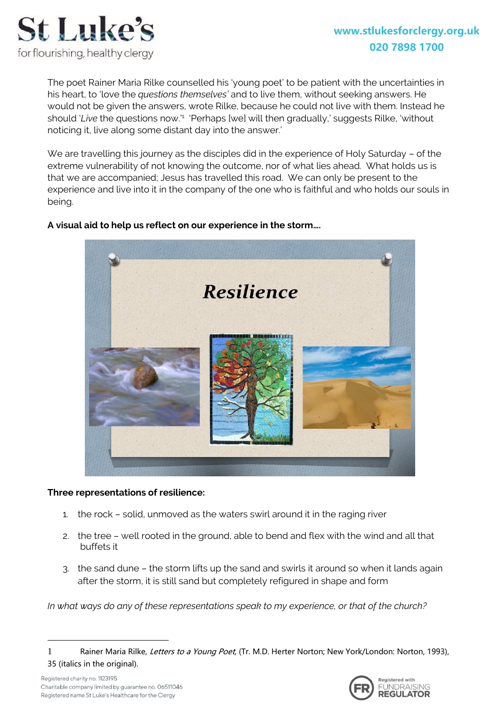

The poet Rainer Maria Rilke counselled his 'young poet' to be patient with the uncertainties in his heart, to 'love the *questions themselves'* and to live them, without seeking answers. He would not be given the answers, wrote Rilke, because he could not live with them. Instead he should 'Live the questions now.'<sup>1</sup> 'Perhaps [we] will then gradually,' suggests Rilke, 'without noticing it, live along some distant day into the answer.'

We are travelling this journey as the disciples did in the experience of Holy Saturday – of the extreme vulnerability of not knowing the outcome, nor of what lies ahead. What holds us is that we are accompanied; Jesus has travelled this road. We can only be present to the experience and live into it in the company of the one who is faithful and who holds our souls in being.



# **A visual aid to help us reflect on our experience in the storm….**

#### **Three representations of resilience:**

- 1. the rock solid, unmoved as the waters swirl around it in the raging river
- 2. the tree well rooted in the ground, able to bend and flex with the wind and all that buffets it
- 3. the sand dune the storm lifts up the sand and swirls it around so when it lands again after the storm, it is still sand but completely refigured in shape and form

*In what ways do any of these representations speak to my experience, or that of the church?*

1



<sup>1</sup> Rainer Maria Rilke, Letters to a Young Poet, (Tr. M.D. Herter Norton; New York/London: Norton, 1993), 35 (italics in the original).